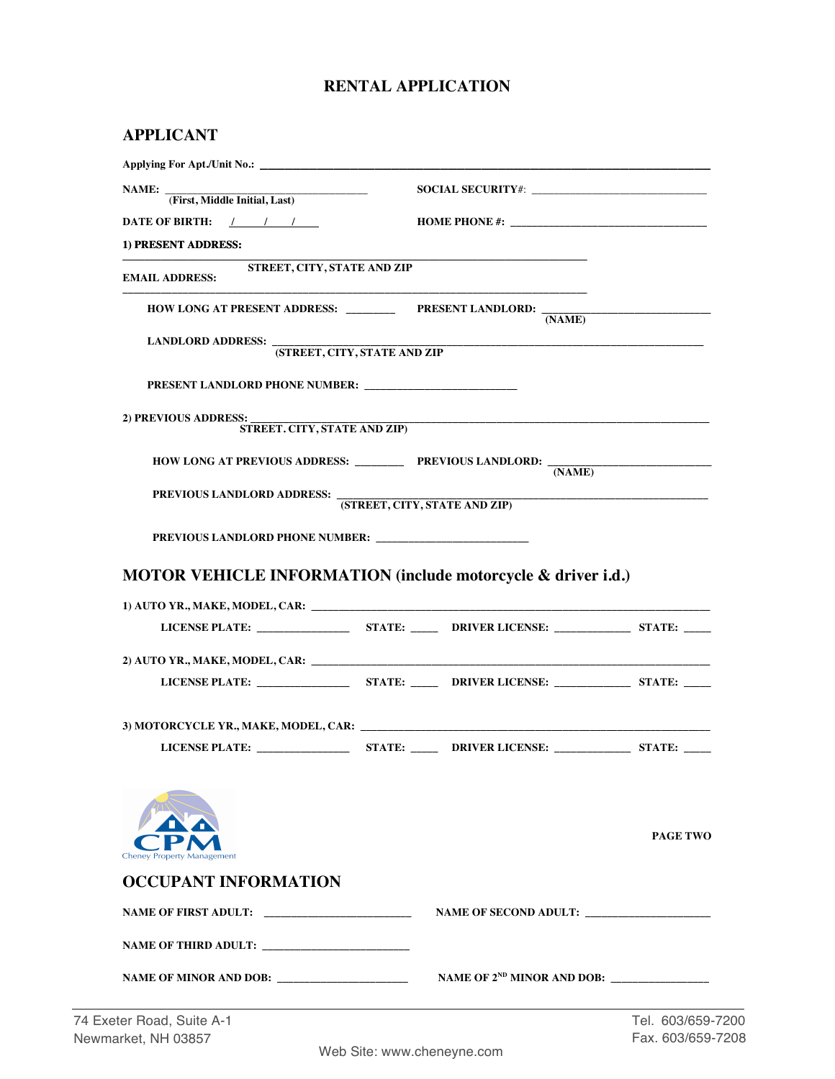## **RENTAL APPLICATION**

| Applying For Apt./Unit No.:                                             |                                                                                           |                 |
|-------------------------------------------------------------------------|-------------------------------------------------------------------------------------------|-----------------|
| NAME: Tirst, Middle Initial, Last)                                      |                                                                                           |                 |
|                                                                         |                                                                                           |                 |
| DATE OF BIRTH: $/$ / /                                                  |                                                                                           |                 |
| 1) PRESENT ADDRESS:                                                     |                                                                                           |                 |
| STREET, CITY, STATE AND ZIP<br><b>EMAIL ADDRESS:</b>                    |                                                                                           |                 |
| HOW LONG AT PRESENT ADDRESS: ___________ PRESENT LANDLORD: ____         | (NAME)                                                                                    |                 |
| <b>LANDLORD ADDRESS: _</b><br>(STREET, CITY, STATE AND ZIP              | the control of the control of the control of the control of the control of the control of |                 |
|                                                                         |                                                                                           |                 |
|                                                                         |                                                                                           |                 |
| 2) PREVIOUS ADDRESS:                                                    |                                                                                           |                 |
| STREET. CITY, STATE AND ZIP)                                            |                                                                                           |                 |
| HOW LONG AT PREVIOUS ADDRESS: ____________ PREVIOUS LANDLORD: ______    |                                                                                           |                 |
|                                                                         | (NAME)                                                                                    |                 |
| PREVIOUS LANDLORD ADDRESS: (STREET, CITY, STATE AND ZIP)                |                                                                                           |                 |
|                                                                         |                                                                                           |                 |
|                                                                         |                                                                                           |                 |
|                                                                         |                                                                                           |                 |
|                                                                         |                                                                                           |                 |
|                                                                         |                                                                                           |                 |
|                                                                         |                                                                                           |                 |
|                                                                         |                                                                                           |                 |
| <b>MOTOR VEHICLE INFORMATION (include motorcycle &amp; driver i.d.)</b> |                                                                                           |                 |
|                                                                         |                                                                                           |                 |
|                                                                         |                                                                                           |                 |
|                                                                         |                                                                                           |                 |
|                                                                         |                                                                                           |                 |
|                                                                         |                                                                                           |                 |
| <b>Cheney Property Management</b>                                       |                                                                                           |                 |
|                                                                         |                                                                                           |                 |
|                                                                         |                                                                                           |                 |
| <b>OCCUPANT INFORMATION</b><br>NAME OF THIRD ADULT:                     |                                                                                           | <b>PAGE TWO</b> |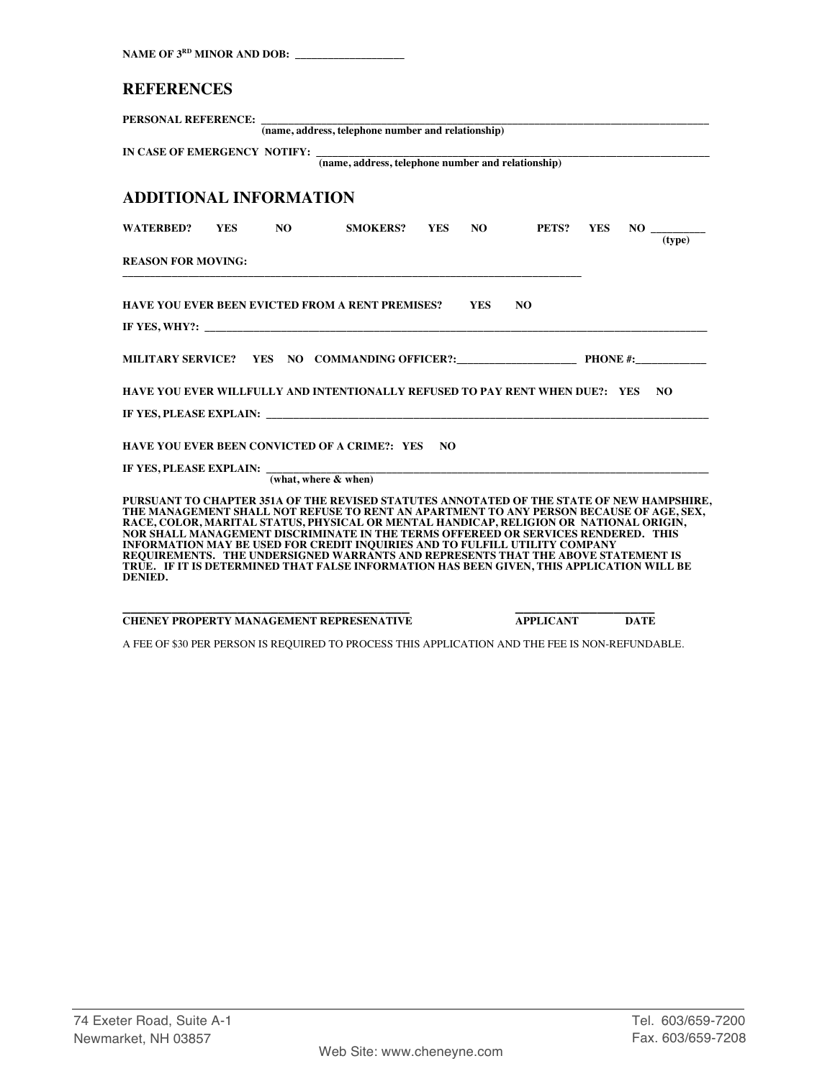| NAME OF 3RD MINOR AND DOB:                                                                                                                                                                                                                                                                                                                                                                                                                                                                                                                                                                                                                       |  |  |  |
|--------------------------------------------------------------------------------------------------------------------------------------------------------------------------------------------------------------------------------------------------------------------------------------------------------------------------------------------------------------------------------------------------------------------------------------------------------------------------------------------------------------------------------------------------------------------------------------------------------------------------------------------------|--|--|--|
| <b>REFERENCES</b>                                                                                                                                                                                                                                                                                                                                                                                                                                                                                                                                                                                                                                |  |  |  |
| PERSONAL REFERENCE: $\frac{1}{(name, address, telephone number and relationship)}$                                                                                                                                                                                                                                                                                                                                                                                                                                                                                                                                                               |  |  |  |
| IN CASE OF EMERGENCY NOTIFY: $\frac{1}{(name, address, telephone number and relationship)}$                                                                                                                                                                                                                                                                                                                                                                                                                                                                                                                                                      |  |  |  |
| <b>ADDITIONAL INFORMATION</b>                                                                                                                                                                                                                                                                                                                                                                                                                                                                                                                                                                                                                    |  |  |  |
| SMOKERS? YES NO PETS? YES<br>WATERBED? YES NO<br>(type)                                                                                                                                                                                                                                                                                                                                                                                                                                                                                                                                                                                          |  |  |  |
| <b>REASON FOR MOVING:</b>                                                                                                                                                                                                                                                                                                                                                                                                                                                                                                                                                                                                                        |  |  |  |
| N <sub>O</sub><br><b>HAVE YOU EVER BEEN EVICTED FROM A RENT PREMISES? YES</b>                                                                                                                                                                                                                                                                                                                                                                                                                                                                                                                                                                    |  |  |  |
|                                                                                                                                                                                                                                                                                                                                                                                                                                                                                                                                                                                                                                                  |  |  |  |
| HAVE YOU EVER WILLFULLY AND INTENTIONALLY REFUSED TO PAY RENT WHEN DUE?: YES NO                                                                                                                                                                                                                                                                                                                                                                                                                                                                                                                                                                  |  |  |  |
| HAVE YOU EVER BEEN CONVICTED OF A CRIME?: YES NO<br>IF YES, PLEASE EXPLAIN: $\frac{1}{\text{what, where & when}}$                                                                                                                                                                                                                                                                                                                                                                                                                                                                                                                                |  |  |  |
| PURSUANT TO CHAPTER 351A OF THE REVISED STATUTES ANNOTATED OF THE STATE OF NEW HAMPSHIRE,<br>THE MANAGEMENT SHALL NOT REFUSE TO RENT AN APARTMENT TO ANY PERSON BECAUSE OF AGE, SEX,<br>RACE, COLOR, MARITAL STATUS, PHYSICAL OR MENTAL HANDICAP, RELIGION OR NATIONAL ORIGIN,<br>NOR SHALL MANAGEMENT DISCRIMINATE IN THE TERMS OFFEREED OR SERVICES RENDERED. THIS<br>INFORMATION MAY BE USED FOR CREDIT INQUIRIES AND TO FULFILL UTILITY COMPANY<br>REQUIREMENTS. THE UNDERSIGNED WARRANTS AND REPRESENTS THAT THE ABOVE STATEMENT IS<br>TRUE. IF IT IS DETERMINED THAT FALSE INFORMATION HAS BEEN GIVEN, THIS APPLICATION WILL BE<br>DENIED. |  |  |  |

**\_\_\_\_\_\_\_\_\_\_\_\_\_\_\_\_\_\_\_\_\_\_\_\_\_\_\_\_\_\_\_\_\_\_\_ \_\_\_\_\_\_\_\_\_\_\_\_\_\_\_\_\_ CHENEY PROPERTY MANAGEMENT REPRESENATIVE APPLICANT DATE**

A FEE OF \$30 PER PERSON IS REQUIRED TO PROCESS THIS APPLICATION AND THE FEE IS NON-REFUNDABLE.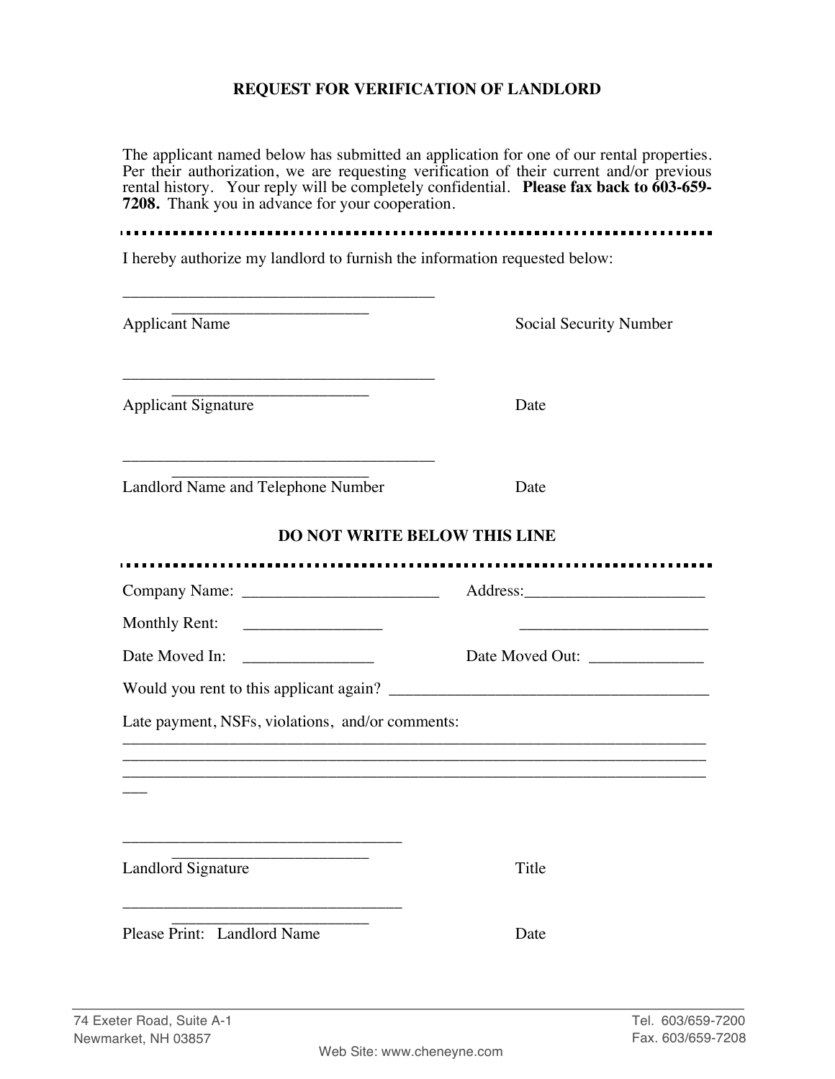## **REQUEST FOR VERIFICATION OF LANDLORD**

The applicant named below has submitted an application for one of our rental properties. Per their authorization, we are requesting verification of their current and/or previous rental history. Your reply will be completely confidential. **Please fax back to 603-659- 7208.** Thank you in advance for your cooperation.

. . . . . . . . . . . . . .

I hereby authorize my landlord to furnish the information requested below:

| <b>Applicant Name</b>                                     | Social Security Number |
|-----------------------------------------------------------|------------------------|
| <b>Applicant Signature</b>                                | Date                   |
| Landlord Name and Telephone Number                        | Date                   |
| <b>DO NOT WRITE BELOW THIS LINE</b>                       |                        |
|                                                           |                        |
| <b>Monthly Rent:</b>                                      |                        |
| Date Moved In:<br><u> 1990 - Johann Barbara, martin a</u> | Date Moved Out:        |
|                                                           |                        |
| Late payment, NSFs, violations, and/or comments:          |                        |
|                                                           |                        |
| Landlord Signature                                        | Title                  |
| Please Print: Landlord Name                               | Date                   |